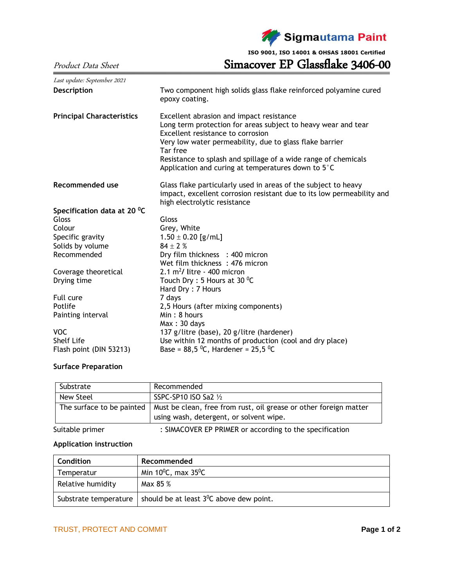

**ISO 9001, ISO 14001 & OHSAS 18001 Certified**

Product Data Sheet Simacover EP Glassflake 3406-00

| Last update: September 2021      |                                                                                                                                                                                                                                                                                                                                               |  |  |  |  |
|----------------------------------|-----------------------------------------------------------------------------------------------------------------------------------------------------------------------------------------------------------------------------------------------------------------------------------------------------------------------------------------------|--|--|--|--|
| <b>Description</b>               | Two component high solids glass flake reinforced polyamine cured<br>epoxy coating.                                                                                                                                                                                                                                                            |  |  |  |  |
| <b>Principal Characteristics</b> | Excellent abrasion and impact resistance<br>Long term protection for areas subject to heavy wear and tear<br>Excellent resistance to corrosion<br>Very low water permeability, due to glass flake barrier<br>Tar free<br>Resistance to splash and spillage of a wide range of chemicals<br>Application and curing at temperatures down to 5°C |  |  |  |  |
| Recommended use                  | Glass flake particularly used in areas of the subject to heavy<br>impact, excellent corrosion resistant due to its low permeability and<br>high electrolytic resistance                                                                                                                                                                       |  |  |  |  |
| Specification data at 20 °C      |                                                                                                                                                                                                                                                                                                                                               |  |  |  |  |
| Gloss                            | Gloss                                                                                                                                                                                                                                                                                                                                         |  |  |  |  |
| Colour                           | Grey, White                                                                                                                                                                                                                                                                                                                                   |  |  |  |  |
| Specific gravity                 | $1.50 \pm 0.20$ [g/mL]                                                                                                                                                                                                                                                                                                                        |  |  |  |  |
| Solids by volume                 | $84 \pm 2%$                                                                                                                                                                                                                                                                                                                                   |  |  |  |  |
| Recommended                      | Dry film thickness : 400 micron                                                                                                                                                                                                                                                                                                               |  |  |  |  |
|                                  | Wet film thickness: 476 micron                                                                                                                                                                                                                                                                                                                |  |  |  |  |
| Coverage theoretical             | $2.1 \text{ m}^2$ / litre - 400 micron                                                                                                                                                                                                                                                                                                        |  |  |  |  |
| Drying time                      | Touch Dry : 5 Hours at 30 $^0$ C                                                                                                                                                                                                                                                                                                              |  |  |  |  |
|                                  | Hard Dry: 7 Hours                                                                                                                                                                                                                                                                                                                             |  |  |  |  |
| Full cure                        | 7 days                                                                                                                                                                                                                                                                                                                                        |  |  |  |  |
| Potlife                          | 2,5 Hours (after mixing components)                                                                                                                                                                                                                                                                                                           |  |  |  |  |
| Painting interval                | Min: 8 hours                                                                                                                                                                                                                                                                                                                                  |  |  |  |  |
|                                  | Max:30 days                                                                                                                                                                                                                                                                                                                                   |  |  |  |  |
| <b>VOC</b>                       | 137 g/litre (base), 20 g/litre (hardener)                                                                                                                                                                                                                                                                                                     |  |  |  |  |
| <b>Shelf Life</b>                | Use within 12 months of production (cool and dry place)                                                                                                                                                                                                                                                                                       |  |  |  |  |
| Flash point (DIN 53213)          | Base = $88,5\,^0C$ , Hardener = $25,5\,^0C$                                                                                                                                                                                                                                                                                                   |  |  |  |  |

## **Surface Preparation**

| Substrate                 | Recommended                                                       |
|---------------------------|-------------------------------------------------------------------|
| New Steel                 | SSPC-SP10 ISO Sa2 1/2                                             |
| The surface to be painted | Must be clean, free from rust, oil grease or other foreign matter |
|                           | using wash, detergent, or solvent wipe.                           |
|                           | $\blacksquare$                                                    |

Suitable primer : SIMACOVER EP PRIMER or according to the specification

## **Application instruction**

| Condition             | Recommended                                          |  |  |
|-----------------------|------------------------------------------------------|--|--|
| Temperatur            | Min $10^0$ C, max $35^0$ C                           |  |  |
| Relative humidity     | Max 85 %                                             |  |  |
| Substrate temperature | should be at least 3 <sup>0</sup> C above dew point. |  |  |